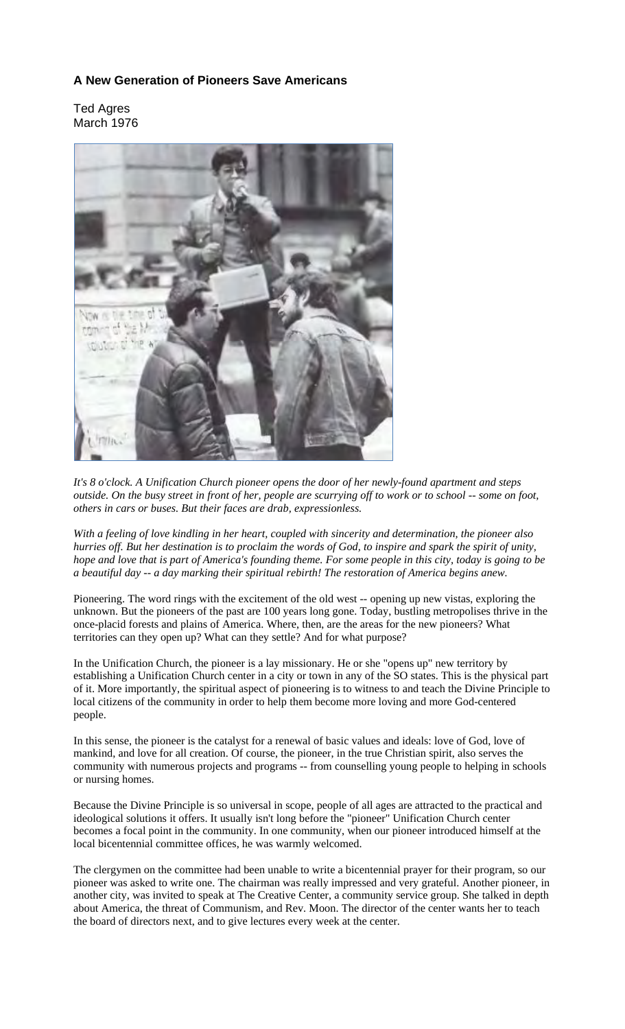## **A New Generation of Pioneers Save Americans**

Ted Agres March 1976



*It's 8 o'clock. A Unification Church pioneer opens the door of her newly-found apartment and steps outside. On the busy street in front of her, people are scurrying off to work or to school -- some on foot, others in cars or buses. But their faces are drab, expressionless.* 

*With a feeling of love kindling in her heart, coupled with sincerity and determination, the pioneer also hurries off. But her destination is to proclaim the words of God, to inspire and spark the spirit of unity, hope and love that is part of America's founding theme. For some people in this city, today is going to be a beautiful day -- a day marking their spiritual rebirth! The restoration of America begins anew.* 

Pioneering. The word rings with the excitement of the old west -- opening up new vistas, exploring the unknown. But the pioneers of the past are 100 years long gone. Today, bustling metropolises thrive in the once-placid forests and plains of America. Where, then, are the areas for the new pioneers? What territories can they open up? What can they settle? And for what purpose?

In the Unification Church, the pioneer is a lay missionary. He or she "opens up" new territory by establishing a Unification Church center in a city or town in any of the SO states. This is the physical part of it. More importantly, the spiritual aspect of pioneering is to witness to and teach the Divine Principle to local citizens of the community in order to help them become more loving and more God-centered people.

In this sense, the pioneer is the catalyst for a renewal of basic values and ideals: love of God, love of mankind, and love for all creation. Of course, the pioneer, in the true Christian spirit, also serves the community with numerous projects and programs -- from counselling young people to helping in schools or nursing homes.

Because the Divine Principle is so universal in scope, people of all ages are attracted to the practical and ideological solutions it offers. It usually isn't long before the "pioneer" Unification Church center becomes a focal point in the community. In one community, when our pioneer introduced himself at the local bicentennial committee offices, he was warmly welcomed.

The clergymen on the committee had been unable to write a bicentennial prayer for their program, so our pioneer was asked to write one. The chairman was really impressed and very grateful. Another pioneer, in another city, was invited to speak at The Creative Center, a community service group. She talked in depth about America, the threat of Communism, and Rev. Moon. The director of the center wants her to teach the board of directors next, and to give lectures every week at the center.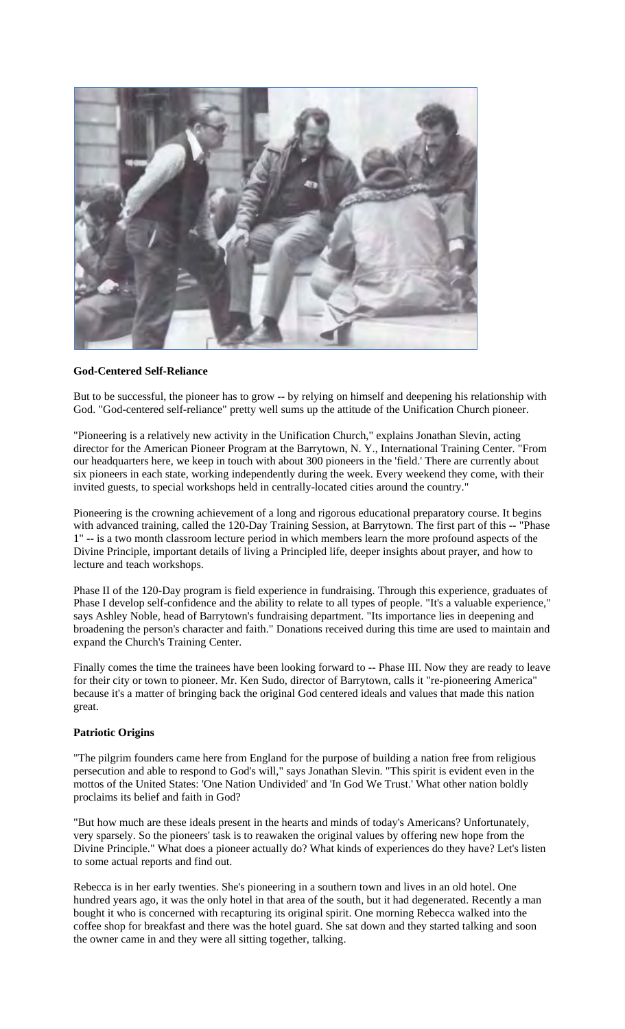

## **God-Centered Self-Reliance**

But to be successful, the pioneer has to grow -- by relying on himself and deepening his relationship with God. "God-centered self-reliance" pretty well sums up the attitude of the Unification Church pioneer.

"Pioneering is a relatively new activity in the Unification Church," explains Jonathan Slevin, acting director for the American Pioneer Program at the Barrytown, N. Y., International Training Center. "From our headquarters here, we keep in touch with about 300 pioneers in the 'field.' There are currently about six pioneers in each state, working independently during the week. Every weekend they come, with their invited guests, to special workshops held in centrally-located cities around the country."

Pioneering is the crowning achievement of a long and rigorous educational preparatory course. It begins with advanced training, called the 120-Day Training Session, at Barrytown. The first part of this -- "Phase 1" -- is a two month classroom lecture period in which members learn the more profound aspects of the Divine Principle, important details of living a Principled life, deeper insights about prayer, and how to lecture and teach workshops.

Phase II of the 120-Day program is field experience in fundraising. Through this experience, graduates of Phase I develop self-confidence and the ability to relate to all types of people. "It's a valuable experience," says Ashley Noble, head of Barrytown's fundraising department. "Its importance lies in deepening and broadening the person's character and faith." Donations received during this time are used to maintain and expand the Church's Training Center.

Finally comes the time the trainees have been looking forward to -- Phase III. Now they are ready to leave for their city or town to pioneer. Mr. Ken Sudo, director of Barrytown, calls it "re-pioneering America" because it's a matter of bringing back the original God centered ideals and values that made this nation great.

## **Patriotic Origins**

"The pilgrim founders came here from England for the purpose of building a nation free from religious persecution and able to respond to God's will," says Jonathan Slevin. "This spirit is evident even in the mottos of the United States: 'One Nation Undivided' and 'In God We Trust.' What other nation boldly proclaims its belief and faith in God?

"But how much are these ideals present in the hearts and minds of today's Americans? Unfortunately, very sparsely. So the pioneers' task is to reawaken the original values by offering new hope from the Divine Principle." What does a pioneer actually do? What kinds of experiences do they have? Let's listen to some actual reports and find out.

Rebecca is in her early twenties. She's pioneering in a southern town and lives in an old hotel. One hundred years ago, it was the only hotel in that area of the south, but it had degenerated. Recently a man bought it who is concerned with recapturing its original spirit. One morning Rebecca walked into the coffee shop for breakfast and there was the hotel guard. She sat down and they started talking and soon the owner came in and they were all sitting together, talking.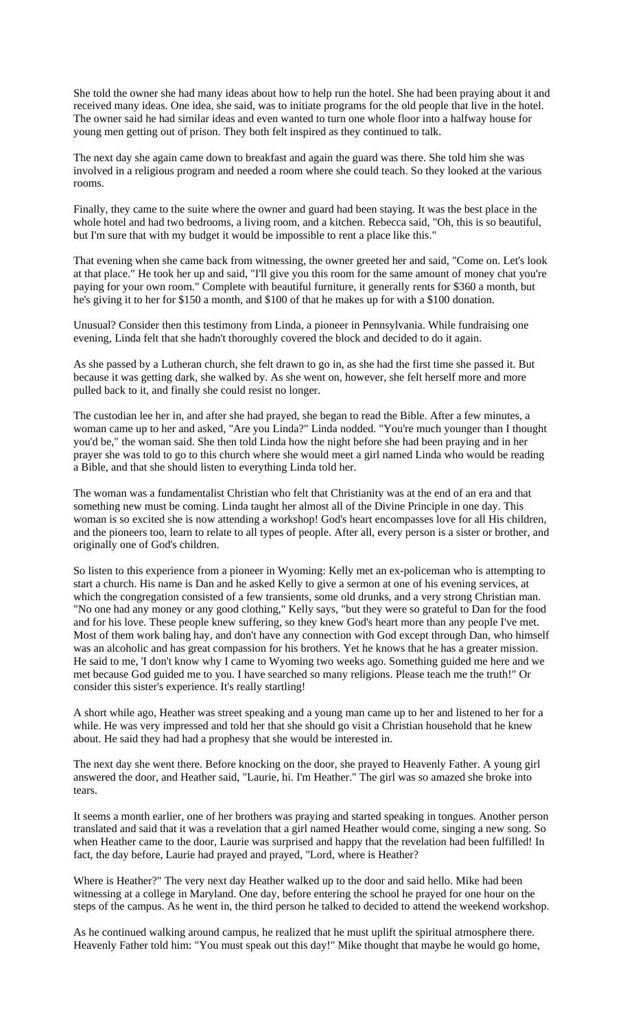She told the owner she had many ideas about how to help run the hotel. She had been praying about it and received many ideas. One idea, she said, was to initiate programs for the old people that live in the hotel. The owner said he had similar ideas and even wanted to turn one whole floor into a halfway house for young men getting out of prison. They both felt inspired as they continued to talk.

The next day she again came down to breakfast and again the guard was there. She told him she was involved in a religious program and needed a room where she could teach. So they looked at the various rooms.

Finally, they came to the suite where the owner and guard had been staying. It was the best place in the whole hotel and had two bedrooms, a living room, and a kitchen. Rebecca said, "Oh, this is so beautiful, but I'm sure that with my budget it would be impossible to rent a place like this."

That evening when she came back from witnessing, the owner greeted her and said, "Come on. Let's look at that place." He took her up and said, "I'll give you this room for the same amount of money chat you're paying for your own room." Complete with beautiful furniture, it generally rents for \$360 a month, but he's giving it to her for \$150 a month, and \$100 of that he makes up for with a \$100 donation.

Unusual? Consider then this testimony from Linda, a pioneer in Pennsylvania. While fundraising one evening, Linda felt that she hadn't thoroughly covered the block and decided to do it again.

As she passed by a Lutheran church, she felt drawn to go in, as she had the first time she passed it. But because it was getting dark, she walked by. As she went on, however, she felt herself more and more pulled back to it, and finally she could resist no longer.

The custodian lee her in, and after she had prayed, she began to read the Bible. After a few minutes, a woman came up to her and asked, "Are you Linda?" Linda nodded. "You're much younger than I thought you'd be," the woman said. She then told Linda how the night before she had been praying and in her prayer she was told to go to this church where she would meet a girl named Linda who would be reading a Bible, and that she should listen to everything Linda told her.

The woman was a fundamentalist Christian who felt that Christianity was at the end of an era and that something new must be coming. Linda taught her almost all of the Divine Principle in one day. This woman is so excited she is now attending a workshop! God's heart encompasses love for all His children, and the pioneers too, learn to relate to all types of people. After all, every person is a sister or brother, and originally one of God's children.

So listen to this experience from a pioneer in Wyoming: Kelly met an ex-policeman who is attempting to start a church. His name is Dan and he asked Kelly to give a sermon at one of his evening services, at which the congregation consisted of a few transients, some old drunks, and a very strong Christian man. "No one had any money or any good clothing," Kelly says, "but they were so grateful to Dan for the food and for his love. These people knew suffering, so they knew God's heart more than any people I've met. Most of them work baling hay, and don't have any connection with God except through Dan, who himself was an alcoholic and has great compassion for his brothers. Yet he knows that he has a greater mission. He said to me, 'I don't know why I came to Wyoming two weeks ago. Something guided me here and we met because God guided me to you. I have searched so many religions. Please teach me the truth!" Or consider this sister's experience. It's really startling!

A short while ago, Heather was street speaking and a young man came up to her and listened to her for a while. He was very impressed and told her that she should go visit a Christian household that he knew about. He said they had had a prophesy that she would be interested in.

The next day she went there. Before knocking on the door, she prayed to Heavenly Father. A young girl answered the door, and Heather said, "Laurie, hi. I'm Heather." The girl was so amazed she broke into tears.

It seems a month earlier, one of her brothers was praying and started speaking in tongues. Another person translated and said that it was a revelation that a girl named Heather would come, singing a new song. So when Heather came to the door, Laurie was surprised and happy that the revelation had been fulfilled! In fact, the day before, Laurie had prayed and prayed, "Lord, where is Heather?

Where is Heather?" The very next day Heather walked up to the door and said hello. Mike had been witnessing at a college in Maryland. One day, before entering the school he prayed for one hour on the steps of the campus. As he went in, the third person he talked to decided to attend the weekend workshop.

As he continued walking around campus, he realized that he must uplift the spiritual atmosphere there. Heavenly Father told him: "You must speak out this day!" Mike thought that maybe he would go home,